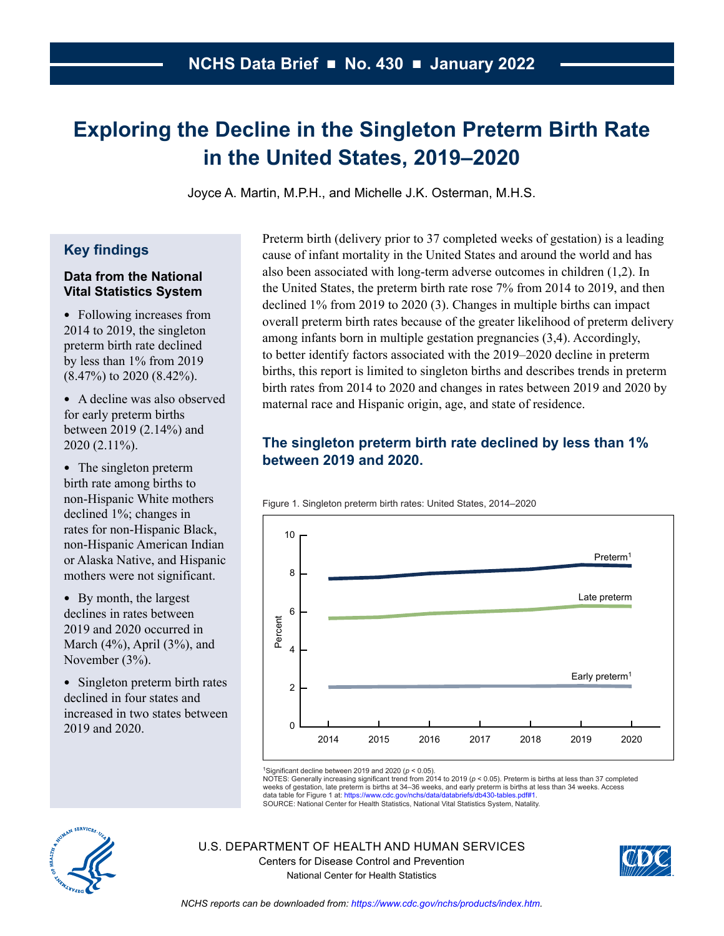# **Exploring the Decline in the Singleton Preterm Birth Rate in the United States, 2019–2020**

Joyce A. Martin, M.P.H., and Michelle J.K. Osterman, M.H.S.

## **Key findings**

#### **Data from the National Vital Statistics System**

- Following increases from 2014 to 2019, the singleton preterm birth rate declined by less than 1% from 2019 (8.47%) to 2020 (8.42%).
- A decline was also observed for early preterm births between 2019 (2.14%) and 2020 (2.11%).
- The singleton preterm birth rate among births to non-Hispanic White mothers declined 1%; changes in rates for non-Hispanic Black, non-Hispanic American Indian or Alaska Native, and Hispanic mothers were not significant.
- By month, the largest declines in rates between 2019 and 2020 occurred in March (4%), April (3%), and November (3%).
- Singleton preterm birth rates declined in four states and increased in two states between 2019 and 2020.

Preterm birth (delivery prior to 37 completed weeks of gestation) is a leading cause of infant mortality in the United States and around the world and has also been associated with long-term adverse outcomes in children (1,2). In the United States, the preterm birth rate rose 7% from 2014 to 2019, and then declined 1% from 2019 to 2020 (3). Changes in multiple births can impact overall preterm birth rates because of the greater likelihood of preterm delivery among infants born in multiple gestation pregnancies (3,4). Accordingly, to better identify factors associated with the 2019–2020 decline in preterm births, this report is limited to singleton births and describes trends in preterm birth rates from 2014 to 2020 and changes in rates between 2019 and 2020 by maternal race and Hispanic origin, age, and state of residence.

# **The singleton preterm birth rate declined by less than 1% between 2019 and 2020.**





1Significant decline between 2019 and 2020 (*p* < 0.05).

NOTES: Generally increasing significant trend from 2014 to 2019 (*p* < 0.05). Preterm is births at less than 37 completed weeks of gestation, late preterm is births at 34–36 weeks, and early preterm is births at less than 34 weeks. Access<br>data table for Figure 1 at: https://www.cdc.gov/nchs/data/databriefs/db430-tables.pdf#1.

SOURCE: National Center for Health Statistics, National Vital Statistics System, Natality.



U.S. DEPARTMENT OF HEALTH AND HUMAN SERVICES Centers for Disease Control and Prevention National Center for Health Statistics

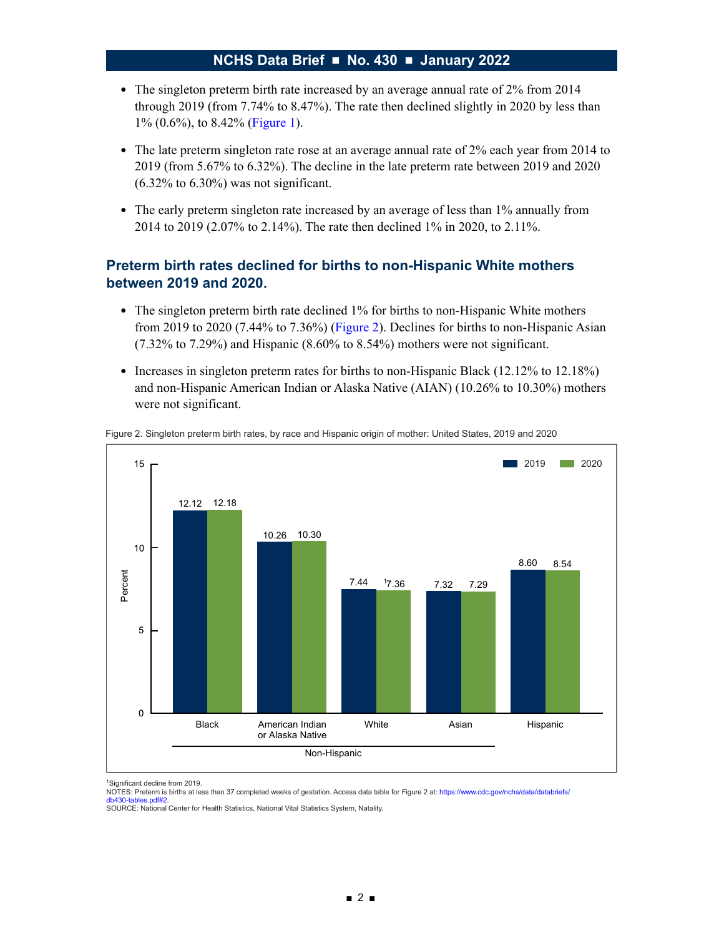- The singleton preterm birth rate increased by an average annual rate of 2% from 2014 through 2019 (from 7.74% to 8.47%). The rate then declined slightly in 2020 by less than 1% (0.6%), to 8.42% (Figure 1).
- The late preterm singleton rate rose at an average annual rate of 2% each year from 2014 to 2019 (from 5.67% to 6.32%). The decline in the late preterm rate between 2019 and 2020  $(6.32\%$  to  $6.30\%)$  was not significant.
- The early preterm singleton rate increased by an average of less than 1% annually from 2014 to 2019 (2.07% to 2.14%). The rate then declined 1% in 2020, to 2.11%.

## **Preterm birth rates declined for births to non-Hispanic White mothers between 2019 and 2020.**

- The singleton preterm birth rate declined 1% for births to non-Hispanic White mothers from 2019 to 2020 (7.44% to 7.36%) (Figure 2). Declines for births to non-Hispanic Asian (7.32% to 7.29%) and Hispanic (8.60% to 8.54%) mothers were not significant.
- Increases in singleton preterm rates for births to non-Hispanic Black (12.12% to 12.18%) and non-Hispanic American Indian or Alaska Native (AIAN) (10.26% to 10.30%) mothers were not significant.



Figure 2. Singleton preterm birth rates, by race and Hispanic origin of mother: United States, 2019 and 2020

1Significant decline from 2019.

NOTES: Preterm is births at less than 37 completed weeks of gestation. Access data table for Figure 2 at: https://www.cdc.gov/nchs/data/databriefs/ db430-tables.pdf#2.

SOURCE: National Center for Health Statistics, National Vital Statistics System, Natality.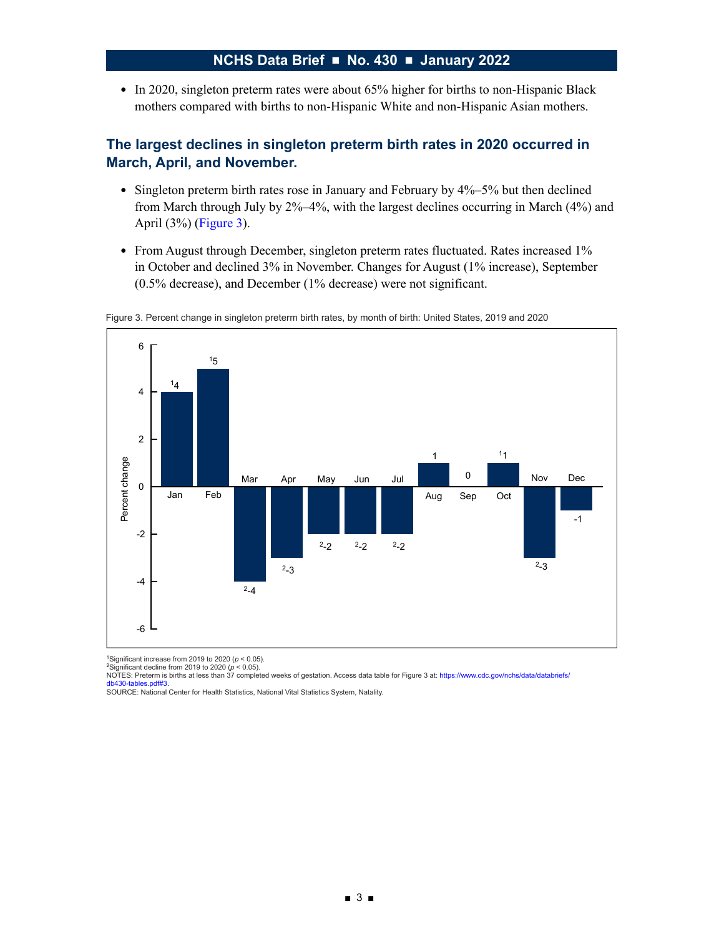• In 2020, singleton preterm rates were about 65% higher for births to non-Hispanic Black mothers compared with births to non-Hispanic White and non-Hispanic Asian mothers.

## **The largest declines in singleton preterm birth rates in 2020 occurred in March, April, and November.**

- Singleton preterm birth rates rose in January and February by 4%–5% but then declined from March through July by 2%–4%, with the largest declines occurring in March (4%) and April (3%) (Figure 3).
- From August through December, singleton preterm rates fluctuated. Rates increased 1% in October and declined 3% in November. Changes for August (1% increase), September (0.5% decrease), and December (1% decrease) were not significant.





<sup>1</sup>Significant increase from 2019 to 2020 (ρ < 0.05).<br><sup>2</sup>Significant decline from 2019 to 2020 (ρ < 0.05).<br>NOTES: Preterm is births at less than 37 completed weeks of gestation. Access data table for Figure 3 at: https:// les.pdf#3

SOURCE: National Center for Health Statistics, National Vital Statistics System, Natality.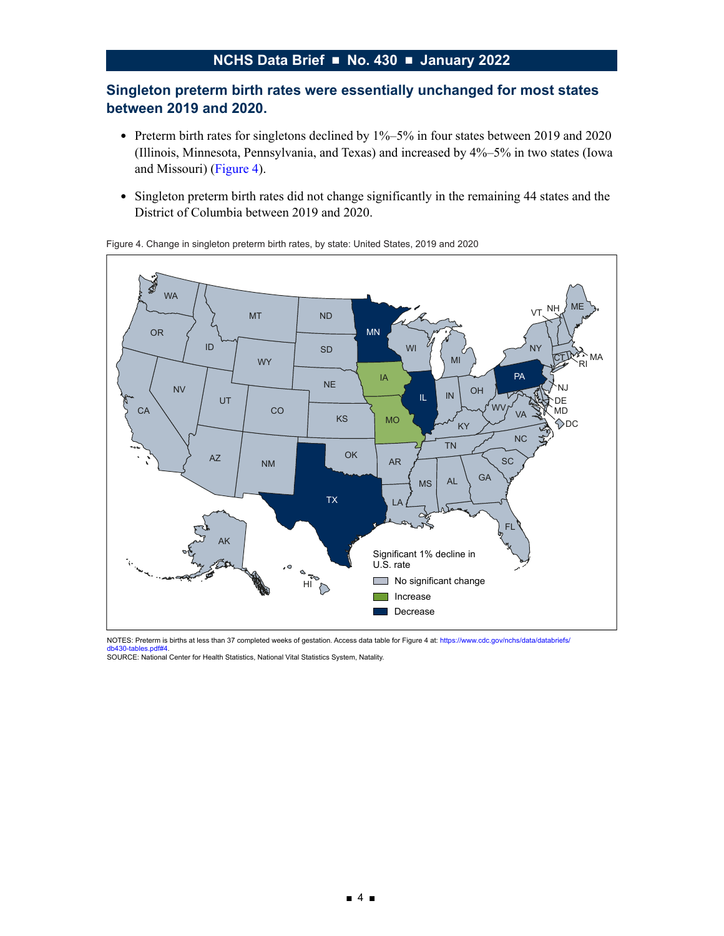## **Singleton preterm birth rates were essentially unchanged for most states between 2019 and 2020.**

- Preterm birth rates for singletons declined by 1%–5% in four states between 2019 and 2020 (Illinois, Minnesota, Pennsylvania, and Texas) and increased by 4%–5% in two states (Iowa and Missouri) (Figure 4).
- Singleton preterm birth rates did not change significantly in the remaining 44 states and the District of Columbia between 2019 and 2020.



Figure 4. Change in singleton preterm birth rates, by state: United States, 2019 and 2020

NOTES: Preterm is births at less than 37 completed weeks of gestation. Access data table for Figure 4 at: https://www.cdc.gov/nchs/data/databriefs/ db430-tables.pdf#4. SOURCE: National Center for Health Statistics, National Vital Statistics System, Natality.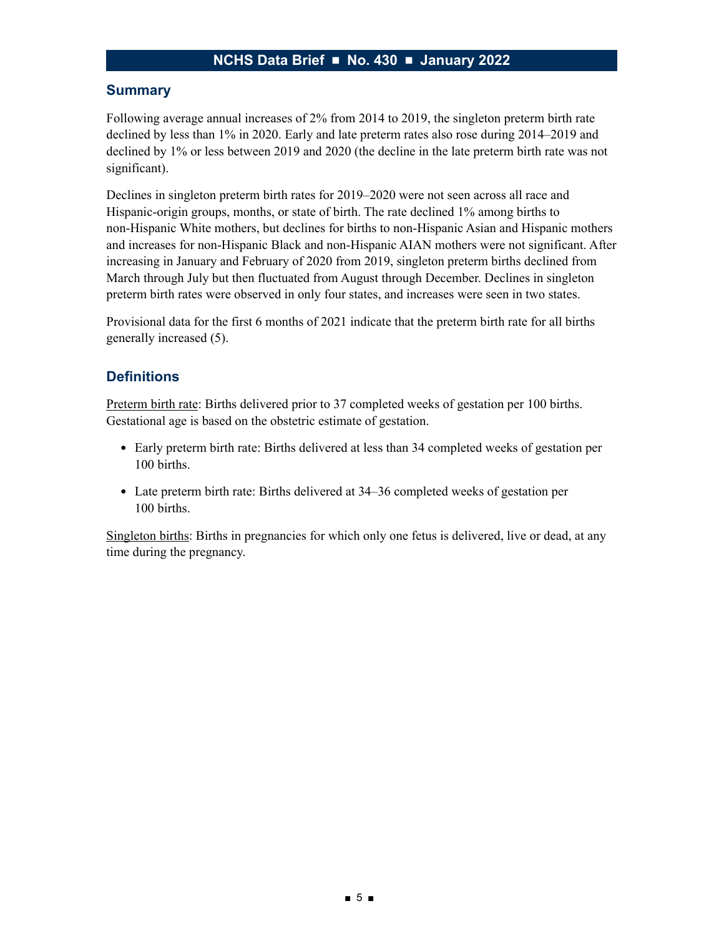### **Summary**

Following average annual increases of 2% from 2014 to 2019, the singleton preterm birth rate declined by less than 1% in 2020. Early and late preterm rates also rose during 2014–2019 and declined by 1% or less between 2019 and 2020 (the decline in the late preterm birth rate was not significant).

Declines in singleton preterm birth rates for 2019–2020 were not seen across all race and Hispanic-origin groups, months, or state of birth. The rate declined 1% among births to non-Hispanic White mothers, but declines for births to non-Hispanic Asian and Hispanic mothers and increases for non-Hispanic Black and non-Hispanic AIAN mothers were not significant. After increasing in January and February of 2020 from 2019, singleton preterm births declined from March through July but then fluctuated from August through December. Declines in singleton preterm birth rates were observed in only four states, and increases were seen in two states.

Provisional data for the first 6 months of 2021 indicate that the preterm birth rate for all births generally increased (5).

### **Definitions**

Preterm birth rate: Births delivered prior to 37 completed weeks of gestation per 100 births. Gestational age is based on the obstetric estimate of gestation.

- Early preterm birth rate: Births delivered at less than 34 completed weeks of gestation per 100 births.
- Late preterm birth rate: Births delivered at 34–36 completed weeks of gestation per 100 births.

Singleton births: Births in pregnancies for which only one fetus is delivered, live or dead, at any time during the pregnancy.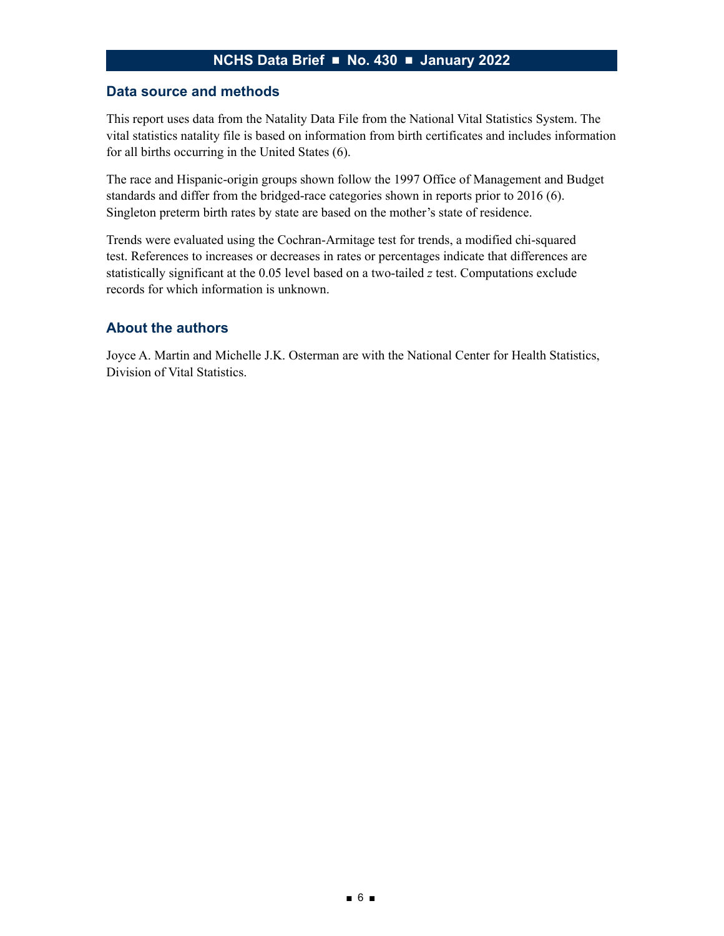#### **Data source and methods**

This report uses data from the Natality Data File from the National Vital Statistics System. The vital statistics natality file is based on information from birth certificates and includes information for all births occurring in the United States (6).

The race and Hispanic-origin groups shown follow the 1997 Office of Management and Budget standards and differ from the bridged-race categories shown in reports prior to 2016 (6). Singleton preterm birth rates by state are based on the mother's state of residence.

Trends were evaluated using the Cochran-Armitage test for trends, a modified chi-squared test. References to increases or decreases in rates or percentages indicate that differences are statistically significant at the 0.05 level based on a two-tailed *z* test. Computations exclude records for which information is unknown.

### **About the authors**

Joyce A. Martin and Michelle J.K. Osterman are with the National Center for Health Statistics, Division of Vital Statistics.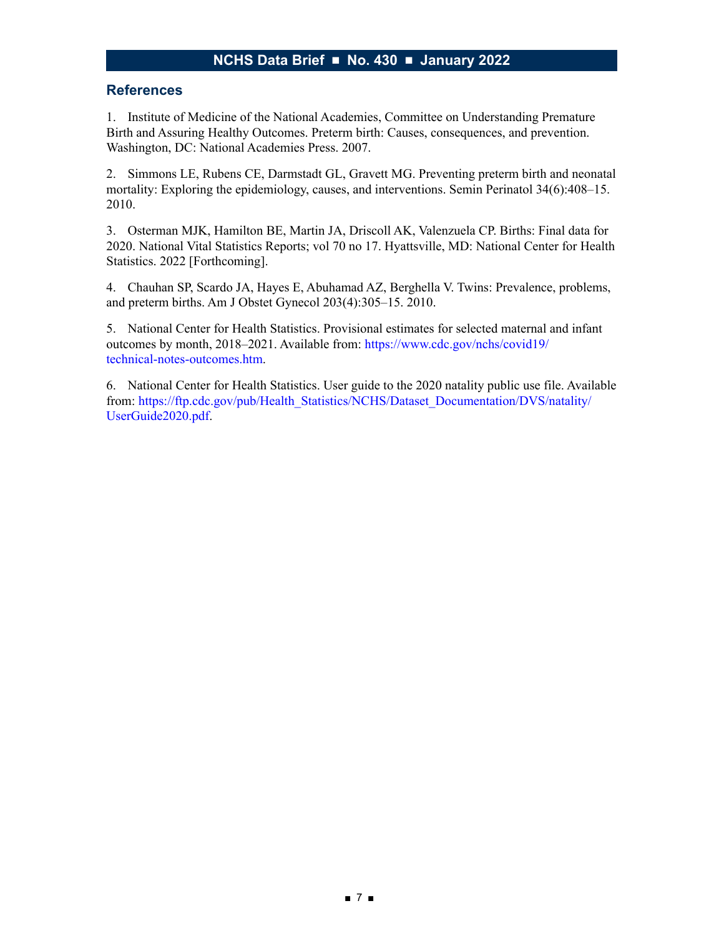#### **References**

1. Institute of Medicine of the National Academies, Committee on Understanding Premature Birth and Assuring Healthy Outcomes. Preterm birth: Causes, consequences, and prevention. Washington, DC: National Academies Press. 2007.

2. Simmons LE, Rubens CE, Darmstadt GL, Gravett MG. Preventing preterm birth and neonatal mortality: Exploring the epidemiology, causes, and interventions. Semin Perinatol 34(6):408–15. 2010.

3. Osterman MJK, Hamilton BE, Martin JA, Driscoll AK, Valenzuela CP. Births: Final data for 2020. National Vital Statistics Reports; vol 70 no 17. Hyattsville, MD: National Center for Health Statistics. 2022 [Forthcoming].

4. Chauhan SP, Scardo JA, Hayes E, Abuhamad AZ, Berghella V. Twins: Prevalence, problems, and preterm births. Am J Obstet Gynecol 203(4):305–15. 2010.

5. National Center for Health Statistics. Provisional estimates for selected maternal and infant outcomes by month, 2018–2021. Available from: [https://www.cdc.gov/nchs/covid19/](https://www.cdc.gov/nchs/covid19/technical-notes-outcomes.htm) [technical-notes-outcomes.htm](https://www.cdc.gov/nchs/covid19/technical-notes-outcomes.htm).

6. National Center for Health Statistics. User guide to the 2020 natality public use file. Available from: [https://ftp.cdc.gov/pub/Health\\_Statistics/NCHS/Dataset\\_Documentation/DVS/natality/](https://ftp.cdc.gov/pub/Health_Statistics/NCHS/Dataset_Documentation/DVS/natality/UserGuide2020.pdf) [UserGuide2020.pdf](https://ftp.cdc.gov/pub/Health_Statistics/NCHS/Dataset_Documentation/DVS/natality/UserGuide2020.pdf).